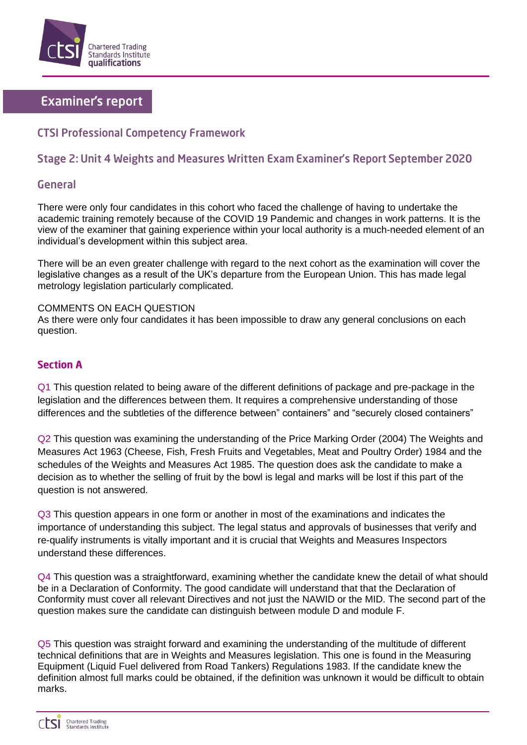

# **Examiner's report**

# **CTSI Professional Competency Framework**

## Stage 2: Unit 4 Weights and Measures Written Exam Examiner's Report September 2020

### General

There were only four candidates in this cohort who faced the challenge of having to undertake the academic training remotely because of the COVID 19 Pandemic and changes in work patterns. It is the view of the examiner that gaining experience within your local authority is a much-needed element of an individual's development within this subject area.

There will be an even greater challenge with regard to the next cohort as the examination will cover the legislative changes as a result of the UK's departure from the European Union. This has made legal metrology legislation particularly complicated.

COMMENTS ON EACH QUESTION As there were only four candidates it has been impossible to draw any general conclusions on each question.

### **Section A**

Q1 This question related to being aware of the different definitions of package and pre-package in the legislation and the differences between them. It requires a comprehensive understanding of those differences and the subtleties of the difference between" containers" and "securely closed containers"

Q2 This question was examining the understanding of the Price Marking Order (2004) The Weights and Measures Act 1963 (Cheese, Fish, Fresh Fruits and Vegetables, Meat and Poultry Order) 1984 and the schedules of the Weights and Measures Act 1985. The question does ask the candidate to make a decision as to whether the selling of fruit by the bowl is legal and marks will be lost if this part of the question is not answered.

Q3 This question appears in one form or another in most of the examinations and indicates the importance of understanding this subject. The legal status and approvals of businesses that verify and re-qualify instruments is vitally important and it is crucial that Weights and Measures Inspectors understand these differences.

Q4 This question was a straightforward, examining whether the candidate knew the detail of what should be in a Declaration of Conformity. The good candidate will understand that that the Declaration of Conformity must cover all relevant Directives and not just the NAWID or the MID. The second part of the question makes sure the candidate can distinguish between module D and module F.

Q5 This question was straight forward and examining the understanding of the multitude of different technical definitions that are in Weights and Measures legislation. This one is found in the Measuring Equipment (Liquid Fuel delivered from Road Tankers) Regulations 1983. If the candidate knew the definition almost full marks could be obtained, if the definition was unknown it would be difficult to obtain marks.